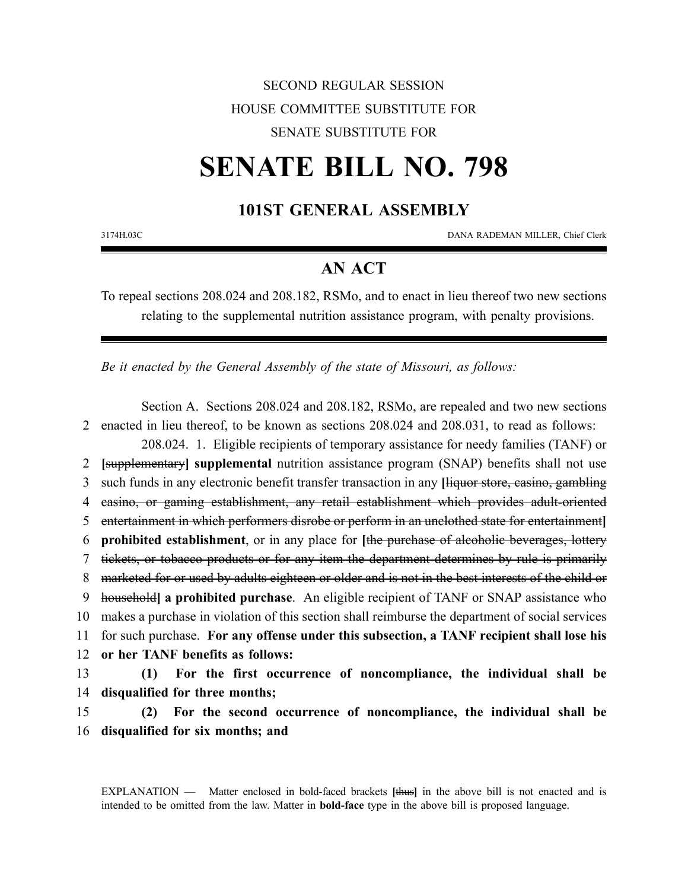## SECOND REGULAR SESSION HOUSE COMMITTEE SUBSTITUTE FOR SENATE SUBSTITUTE FOR

## **SENATE BILL NO. 798**

## **101ST GENERAL ASSEMBLY**

3174H.03C DANA RADEMAN MILLER, Chief Clerk

## **AN ACT**

To repeal sections 208.024 and 208.182, RSMo, and to enact in lieu thereof two new sections relating to the supplemental nutrition assistance program, with penalty provisions.

*Be it enacted by the General Assembly of the state of Missouri, as follows:*

Section A. Sections 208.024 and 208.182, RSMo, are repealed and two new sections enacted in lieu thereof, to be known as sections 208.024 and 208.031, to read as follows: 208.024. 1. Eligible recipients of temporary assistance for needy families (TANF) or **[**supplementary**] supplemental** nutrition assistance program (SNAP) benefits shall not use such funds in any electronic benefit transfer transaction in any **[**liquor store, casino, gambling casino, or gaming establishment, any retail establishment which provides adult-oriented entertainment in which performers disrobe or perform in an unclothed state for entertainment**] prohibited establishment**, or in any place for **[**the purchase of alcoholic beverages, lottery tickets, or tobacco products or for any item the department determines by rule is primarily 8 marketed for or used by adults eighteen or older and is not in the best interests of the child or household**] a prohibited purchase**. An eligible recipient of TANF or SNAP assistance who makes a purchase in violation of this section shall reimburse the department of social services for such purchase. **For any offense under this subsection, a TANF recipient shall lose his or her TANF benefits as follows: (1) For the first occurrence of noncompliance, the individual shall be disqualified for three months;**

15 **(2) For the second occurrence of noncompliance, the individual shall be** 16 **disqualified for six months; and**

EXPLANATION — Matter enclosed in bold-faced brackets **[**thus**]** in the above bill is not enacted and is intended to be omitted from the law. Matter in **bold-face** type in the above bill is proposed language.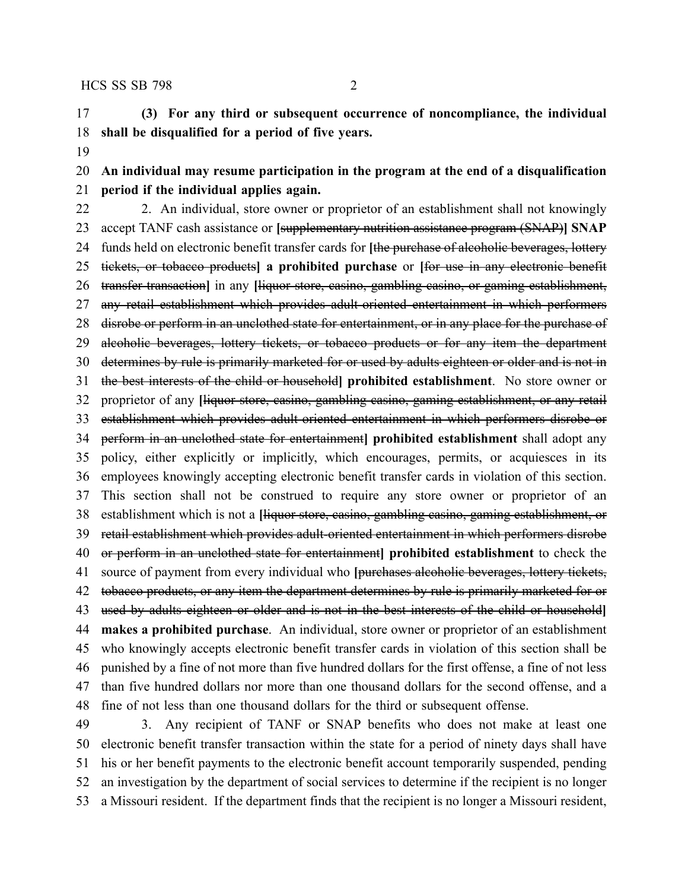**(3) For any third or subsequent occurrence of noncompliance, the individual shall be disqualified for a period of five years.**

 **An individual may resume participation in the program at the end of a disqualification period if the individual applies again.**

 2. An individual, store owner or proprietor of an establishment shall not knowingly accept TANF cash assistance or **[**supplementary nutrition assistance program (SNAP)**] SNAP** funds held on electronic benefit transfer cards for **[**the purchase of alcoholic beverages, lottery tickets, or tobacco products**] a prohibited purchase** or **[**for use in any electronic benefit transfer transaction**]** in any **[**liquor store, casino, gambling casino, or gaming establishment, any retail establishment which provides adult-oriented entertainment in which performers 28 disrobe or perform in an unclothed state for entertainment, or in any place for the purchase of 29 aleoholic beverages, lottery tickets, or tobacco products or for any item the department determines by rule is primarily marketed for or used by adults eighteen or older and is not in the best interests of the child or household**] prohibited establishment**. No store owner or proprietor of any **[**liquor store, casino, gambling casino, gaming establishment, or any retail establishment which provides adult-oriented entertainment in which performers disrobe or perform in an unclothed state for entertainment**] prohibited establishment** shall adopt any policy, either explicitly or implicitly, which encourages, permits, or acquiesces in its employees knowingly accepting electronic benefit transfer cards in violation of this section. This section shall not be construed to require any store owner or proprietor of an establishment which is not a **[**liquor store, casino, gambling casino, gaming establishment, or retail establishment which provides adult-oriented entertainment in which performers disrobe or perform in an unclothed state for entertainment**] prohibited establishment** to check the source of payment from every individual who **[**purchases alcoholic beverages, lottery tickets, 42 tobacco products, or any item the department determines by rule is primarily marketed for or used by adults eighteen or older and is not in the best interests of the child or household**] makes a prohibited purchase**. An individual, store owner or proprietor of an establishment who knowingly accepts electronic benefit transfer cards in violation of this section shall be punished by a fine of not more than five hundred dollars for the first offense, a fine of not less than five hundred dollars nor more than one thousand dollars for the second offense, and a fine of not less than one thousand dollars for the third or subsequent offense.

 3. Any recipient of TANF or SNAP benefits who does not make at least one electronic benefit transfer transaction within the state for a period of ninety days shall have his or her benefit payments to the electronic benefit account temporarily suspended, pending an investigation by the department of social services to determine if the recipient is no longer a Missouri resident. If the department finds that the recipient is no longer a Missouri resident,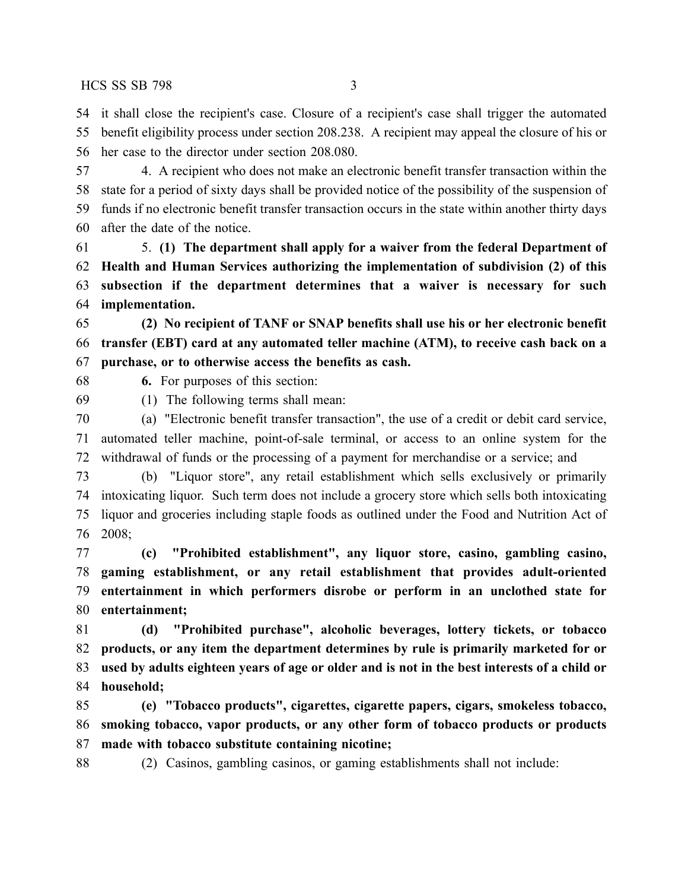HCS SS SB 798 3

 it shall close the recipient's case. Closure of a recipient's case shall trigger the automated benefit eligibility process under section 208.238. A recipient may appeal the closure of his or her case to the director under section 208.080.

 4. A recipient who does not make an electronic benefit transfer transaction within the state for a period of sixty days shall be provided notice of the possibility of the suspension of funds if no electronic benefit transfer transaction occurs in the state within another thirty days after the date of the notice.

 5. **(1) The department shall apply for a waiver from the federal Department of Health and Human Services authorizing the implementation of subdivision (2) of this subsection if the department determines that a waiver is necessary for such implementation.**

 **(2) No recipient of TANF or SNAP benefits shall use his or her electronic benefit transfer (EBT) card at any automated teller machine (ATM), to receive cash back on a purchase, or to otherwise access the benefits as cash.**

**6.** For purposes of this section:

(1) The following terms shall mean:

 (a) "Electronic benefit transfer transaction", the use of a credit or debit card service, automated teller machine, point-of-sale terminal, or access to an online system for the withdrawal of funds or the processing of a payment for merchandise or a service; and

 (b) "Liquor store", any retail establishment which sells exclusively or primarily intoxicating liquor. Such term does not include a grocery store which sells both intoxicating liquor and groceries including staple foods as outlined under the Food and Nutrition Act of 2008;

 **(c) "Prohibited establishment", any liquor store, casino, gambling casino, gaming establishment, or any retail establishment that provides adult-oriented entertainment in which performers disrobe or perform in an unclothed state for entertainment;**

 **(d) "Prohibited purchase", alcoholic beverages, lottery tickets, or tobacco products, or any item the department determines by rule is primarily marketed for or** 83 used by adults eighteen years of age or older and is not in the best interests of a child or **household;**

 **(e) "Tobacco products", cigarettes, cigarette papers, cigars, smokeless tobacco, smoking tobacco, vapor products, or any other form of tobacco products or products made with tobacco substitute containing nicotine;**

(2) Casinos, gambling casinos, or gaming establishments shall not include: